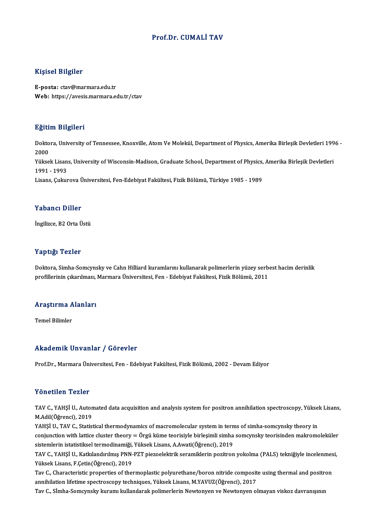#### Prof.Dr. CUMALİ TAV

#### Kişisel Bilgiler

E-posta: ctav@marmara.edu.tr Web: https://avesis.marmara.edu.tr/ctav

#### Eğitim Bilgileri

**Eğitim Bilgileri**<br>Doktora, University of Tennessee, Knoxville, Atom Ve Molekül, Department of Physics, Amerika Birleşik Devletleri 1996 -<br>2000 ngref<br>Dokto<br>2000<br><sup>Vülsse</sup> Doktora, University of Tennessee, Knoxville, Atom Ve Molekül, Department of Physics, Amerika Birleşik Devletleri 199<br>2000<br>Yüksek Lisans, University of Wisconsin-Madison, Graduate School, Department of Physics, Amerika Birl 2000<br>Yüksek Lisan<br>1991 - 1993<br>Lisans Culuy Yüksek Lisans, University of Wisconsin-Madison, Graduate School, Department of Physics,<br>1991 - 1993<br>Lisans, Çukurova Üniversitesi, Fen-Edebiyat Fakültesi, Fizik Bölümü, Türkiye 1985 - 1989 Lisans, Çukurova Üniversitesi, Fen-Edebiyat Fakültesi, Fizik Bölümü, Türkiye 1985 - 1989<br>Yabancı Diller

İngilizce, B2 Orta Üstü

#### Yaptığı Tezler

Doktora, Simha-Somcynsky ve Cahn Hilliard kuramlarını kullanarak polimerlerin yüzey serbest hacim derinlik profillerinin çıkarılması, Marmara Üniversitesi, Fen - Edebiyat Fakültesi, Fizik Bölümü, 2011

### promerinin çıkarılması,<br>Araştırma Alanları <mark>Araştırma A</mark><br>Temel Bilimler

# Akademik Unvanlar / Görevler

Prof.Dr., Marmara Üniversitesi, Fen - Edebiyat Fakültesi, Fizik Bölümü, 2002 - Devam Ediyor

#### Yönetilen Tezler

Yönetilen Tezler<br>TAV C., YAHŞİ U., Automated data acquisition and analysis system for positron annihilation spectroscopy, Yüksek Lisans,<br>M.Adil(Öğrensi), 2019 TORUCH TURICI<br>TAV C., YAHŞİ U., Auton<br>M.Adil(Öğrenci), 2019<br>YAHSİ U. TAV C. Statist TAV C., YAHŞİ U., Automated data acquisition and analysis system for positron annihilation spectroscopy, Yükse<br>M.Adil(Öğrenci), 2019<br>YAHŞİ U., TAV C., Statistical thermodynamics of macromolecular system in terms of simha-s

M.Adil(Öğrenci), 2019<br>YAHŞİ U., TAV C., Statistical thermodynamics of macromolecular system in terms of simha-somcynsky theory in<br>conjunction with lattice cluster theory = Örgü küme teorisiyle birleşimli simha somcynsky te YAHŞİ U., TAV C., Statistical thermodynamics of macromolecular system in tern<br>conjunction with lattice cluster theory = Örgü küme teorisiyle birleşimli simha<br>sistemlerin istatistiksel termodinamiği, Yüksek Lisans, A.Awati( conjunction with lattice cluster theory = Örgü küme teorisiyle birleşimli simha somcynsky teorisinden makromoleküler<br>sistemlerin istatistiksel termodinamiği, Yüksek Lisans, A.Awati(Öğrenci), 2019<br>TAV C., YAHŞİ U., Katkılan

sistemlerin istatistiksel termodinamiği, Yüksek Lisans, A.Awati(Öğrenci), 2019<br>TAV C., YAHŞİ U., Katkılandırılmış PNN-PZT piezoelektrik seramiklerin pozitron yokolma (PALS) tekniğiyle incelenmesi,<br>Yüksek Lisans, F.Çetin(Öğ TAV C., YAHŞİ U., Katkılandırılmış PNN-PZT piezoelektrik seramiklerin pozitron yokolma (PALS) tekniğiyle incelenmes<br>Yüksek Lisans, F.Çetin(Öğrenci), 2019<br>Tav C., Characteristic properties of thermoplastic polyurethane/boro

Yüksek Lisans, F.Çetin(Öğrenci), 2019<br>Tav C., Characteristic properties of thermoplastic polyurethane/boron nitride composit<br>annihilation lifetime spectroscopy techniques, Yüksek Lisans, M.YAVUZ(Öğrenci), 2017<br>Tav C. S<sup>t</sup>ı Tav C., Characteristic properties of thermoplastic polyurethane/boron nitride composite using thermal and positr<br>annihilation lifetime spectroscopy techniques, Yüksek Lisans, M.YAVUZ(Öğrenci), 2017<br>Tav C., Sİmha-Somcynsky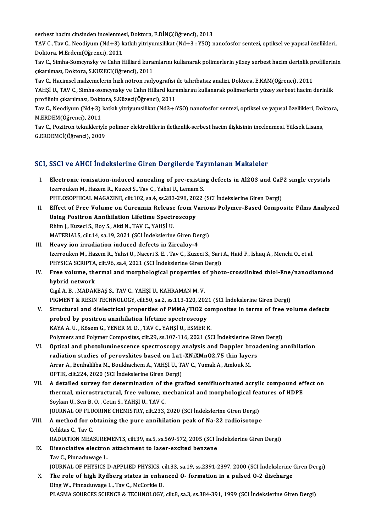serbest hacim cinsinden incelenmesi, Doktora, F.DİNÇ(Öğrenci), 2013<br>TAV C. Tav C. Naadiyum (Nd L2) katluk vitriyumailikat (Nd L2 : VSO) r

serbest hacim cinsinden incelenmesi, Doktora, F.DİNÇ(Öğrenci), 2013<br>TAV C., Tav C., Neodiyum (Nd+3) katkılı yitriyumsilikat (Nd+3 : YSO) nanofosfor sentezi, optiksel ve yapısal özellikleri,<br>Pelttera M.Erdem(Öğrengi), 2011 serbest hacim cinsinden incelenme:<br>TAV C., Tav C., Neodiyum (Nd+3) k<br>Doktora, M.Erdem(Öğrenci), 2011<br>Tav C. Simba Samarmalay ve Cabn b TAV C., Tav C., Neodiyum (Nd+3) katkılı yitriyumsilikat (Nd+3 : YSO) nanofosfor sentezi, optiksel ve yapısal özellikleri,<br>Doktora, M.Erdem(Öğrenci), 2011<br>Tav C., Simha-Somcynsky ve Cahn Hilliard kuramlarını kullanarak poli

Doktora, M.Erdem(Öğrenci), 2011<br>Tav C., Simha-Somcynsky ve Cahn Hilliard kura<br>çıkarılması, Doktora, S.KUZECI(Öğrenci), 2011<br>Tav C. Hasimsel malzomalarin bızlı nötren radı Tav C., Simha-Somcynsky ve Cahn Hilliard kuramlarını kullanarak polimerlerin yüzey serbest hacim derinlik pı<br>çıkarılması, Doktora, S.KUZECI(Öğrenci), 2011<br>Tav C., Hacimsel malzemelerin hızlı nötron radyografisi ile tahriba

çıkarılması, Doktora, S.KUZECI(Öğrenci), 2011<br>Tav C., Hacimsel malzemelerin hızlı nötron radyografisi ile tahribatsız analizi, Doktora, E.KAM(Öğrenci), 2011<br>YAHŞİ U., TAV C., Simha-somcynsky ve Cahn Hillard kuramlarını kul Tav C., Hacimsel malzemelerin hızlı nötron radyografisi<br>YAHŞİ U., TAV C., Simha-somcynsky ve Cahn Hillard kura<br>profilinin çıkarılması, Doktora, S.Küzeci(Öğrenci), 2011<br>Tav C. Noodiyum (Nd L2) katlalı vitriyumsilikat (Nd2 L YAHŞİ U., TAV C., Simha-somcynsky ve Cahn Hillard kuramlarını kullanarak polimerlerin yüzey serbest hacim derinlik<br>profilinin çıkarılması, Doktora, S.Küzeci(Öğrenci), 2011<br>Tav C., Neodiyum (Nd+3) katkılı yitriyumsilikat (N

profilinin çıkarılması, Dokt<br>Tav C., Neodiyum (Nd+3)<br>M.ERDEM(Öğrenci), 2011<br>Tav C. Bogitron taknikleriy Tav C., Neodiyum (Nd+3) katkılı yitriyumsilikat (Nd3+:YSO) nanofosfor sentezi, optiksel ve yapısal özellikleri, Dol<br>M.ERDEM(Öğrenci), 2011<br>Tav C., Pozitron teknikleriyle polimer elektrolitlerin iletkenlik-serbest hacim ili

M.ERDEM(Öğrenci), 2011<br>Tav C., Pozitron teknikleriyle polimer elektrolitlerin iletkenlik-serbest hacim ilişkisinin incelenmesi, Yüksek Lisans,<br>G.ERDEMCİ(Öğrenci), 2009

#### SCI, SSCI ve AHCI İndekslerine Giren Dergilerde Yayınlanan Makaleler

- CI, SSCI ve AHCI İndekslerine Giren Dergilerde Yayınlanan Makaleler<br>I. Electronic ionisation-induced annealing of pre-existing defects in Al2O3 and CaF2 single crystals<br>Iserrevisen M. Hazem B. Kuresi S. Tay C. Vebei U. Lem Izerrouken M., Hazem R., Kuzeci S., Tav C., Yahsi U., Lemam S.<br>PHILOSOPHICAL MAGAZINE, cilt.102, sa.4, ss.283-298, 2022 (SCI İndekslerine Giren Dergi) Electronic ionisation-induced annealing of pre-existing defects in Al2O3 and CaF<br>Izerrouken M., Hazem R., Kuzeci S., Tav C., Yahsi U., Lemam S.<br>PHILOSOPHICAL MAGAZINE, cilt.102, sa.4, ss.283-298, 2022 (SCI İndekslerine Gir Izerrouken M., Hazem R., Kuzeci S., Tav C., Yahsi U., Lemam S.<br>PHILOSOPHICAL MAGAZINE, cilt.102, sa.4, ss.283-298, 2022 (SCI İndekslerine Giren Dergi)<br>II. Effect of Free Volume on Curcumin Release from Various Polymer-Base
- PHILOSOPHICAL MAGAZINE, cilt.102, sa.4, ss.283-298, 202<br>Effect of Free Volume on Curcumin Release from V<br>Using Positron Annihilation Lifetime Spectroscopy<br>Phim L Kuresi S, Boy S, Akti N, TAV G, VAHSLU Effect of Free Volume on Curcumin Release<br>Using Positron Annihilation Lifetime Spectr<br>Rhim J., Kuzeci S., Roy S., Akti N., TAV C., YAHŞİ U.<br>MATERIALS cilt 14 ca 19, 2021 (SCLİndekslering Using Positron Annihilation Lifetime Spectroscopy<br>Rhim J., Kuzeci S., Roy S., Akti N., TAV C., YAHŞİ U.<br>MATERIALS, cilt.14, sa.19, 2021 (SCI İndekslerine Giren Dergi)
- III. Heavy ion irradiation induced defects in Zircaloy-4 Izerrouken M., Hazem R., Yahsi U., Naceri S. E., Tav C., Kuzeci S., Sari A., Haid F., Ishaq A., Menchi O., et al. Heavy ion irradiation induced defects in Zircaloy-4<br>Izerrouken M., Hazem R., Yahsi U., Naceri S. E. , Tav C., Kuzeci S., Sari<br>PHYSICA SCRIPTA, cilt.96, sa.4, 2021 (SCI İndekslerine Giren Dergi)<br>Free volume, thermal and mer Izerrouken M., Hazem R., Yahsi U., Naceri S. E. , Tav C., Kuzeci S., Sari A., Haid F., Ishaq A., Menchi O., et al.<br>PHYSICA SCRIPTA, cilt.96, sa.4, 2021 (SCI İndekslerine Giren Dergi)<br>IV. Free volume, thermal and morphologi
- PHYSICA SCRIPTA<br>Free volume, the<br>hybrid network<br>Civil A. B. MADAR Free volume, thermal and morphological properties o<br>hybrid network<br>Cigil A. B. , MADAKBAŞ S., TAV C., YAHŞİ U., KAHRAMAN M. V.<br>PICMENT & RESIN TECHNOLOCY, silt 50, 83, 28,112,120, 20; hybrid network<br>Cigil A. B. , MADAKBAŞ S., TAV C., YAHŞİ U., KAHRAMAN M. V.<br>PIGMENT & RESIN TECHNOLOGY, cilt.50, sa.2, ss.113-120, 2021 (SCI İndekslerine Giren Dergi)<br>Structural and dialactrical proportios of BMMA (TiO3 com

- Cigil A. B. , MADAKBAŞ S., TAV C., YAHŞİ U., KAHRAMAN M. V.<br>PIGMENT & RESIN TECHNOLOGY, cilt.50, sa.2, ss.113-120, 2021 (SCI İndekslerine Giren Dergi)<br>V. Structural and dielectrical properties of PMMA/TiO2 composites in te PIGMENT & RESIN TECHNOLOGY, cilt.50, sa.2, ss.113-120, 202<br>Structural and dielectrical properties of PMMA/TiO2 co<br>probed by positron annihilation lifetime spectroscopy<br>KAVA A IL Kösom C VENER M D. TAV C VAHSULL ESMERN Structural and dielectrical properties of PMMA/TiO2 comprobed by positron annihilation lifetime spectroscopy<br>KAYA A.U., Kösem G., YENER M. D., TAV C., YAHŞİ U., ESMER K.<br>Polymars and Polymar Camposites, silt 29, ss 197,116 probed by positron annihilation lifetime spectroscopy<br>KAYA A. U. , Kösem G., YENER M. D. , TAV C., YAHŞİ U., ESMER K.<br>Polymers and Polymer Composites, cilt.29, ss.107-116, 2021 (SCI İndekslerine Giren Dergi) KAYA A. U. , Kösem G., YENER M. D. , TAV C., YAHŞİ U., ESMER K.<br>Polymers and Polymer Composites, cilt.29, ss.107-116, 2021 (SCI İndekslerine Giren Dergi)<br>VI. Optical and photoluminescence spectroscopy analysis and Doppler
- Polymers and Polymer Composites, cilt.29, ss.107-116, 2021 (SCI İndekslerine Gir<br>Optical and photoluminescence spectroscopy analysis and Doppler broa<br>radiation studies of perovskites based on La1-XNiXMnO2.75 thin layers<br>Ar Optical and photoluminescence spectroscopy analysis and Doppler breadiation studies of perovskites based on La1-XNiXMnO2.75 thin layer<br>Arrar A., Benhaliliba M., Boukhachem A., YAHŞİ U., TAV C., Yumak A., Amlouk M.<br>OPTIK ci radiation studies of perovskites based on La1-XNiXMnO2.75 thin layers<br>Arrar A., Benhaliliba M., Boukhachem A., YAHŞİ U., TAV C., Yumak A., Amlouk M.<br>OPTIK, cilt.224, 2020 (SCI İndekslerine Giren Dergi) Arrar A., Benhaliliba M., Boukhachem A., YAHŞİ U., TAV C., Yumak A., Amlouk M.<br>OPTIK, cilt.224, 2020 (SCI İndekslerine Giren Dergi)<br>VII. A detailed survey for determination of the grafted semifluorinated acrylic compound e
- OPTIK, cilt.224, 2020 (SCI İndekslerine Giren Dergi)<br>A detailed survey for determination of the grafted semifluorinated acrylic compound ef<br>thermal, microstructural, free volume, mechanical and morphological features of HD A detailed survey for determination of thermal, microstructural, free volume, m<br>Soykan U., Sen B. O. , Cetin S., YAHŞİ U., TAV C.<br>JOUPMAL OE ELUOPINE CHEMISTRY silt 222 thermal, microstructural, free volume, mechanical and morphological fea<br>Soykan U., Sen B. O. , Cetin S., YAHŞİ U., TAV C.<br>JOURNAL OF FLUORINE CHEMISTRY, cilt.233, 2020 (SCI İndekslerine Giren Dergi)<br>A method for obtaining

Soykan U., Sen B. O. , Cetin S., YAHŞİ U., TAV C.<br>JOURNAL OF FLUORINE CHEMISTRY, cilt.233, 2020 (SCI İndekslerine Giren Dergi)<br>VIII. A method for obtaining the pure annihilation peak of Na-22 radioisotope<br>Celiktas C., **JOURNAL OF FLU<br>A method for of<br>Celiktas C., Tav C.<br>RADIATION MEA** A method for obtaining the pure annihilation peak of Na-22 radioisotope<br>Celiktas C., Tav C.<br>RADIATION MEASUREMENTS, cilt.39, sa.5, ss.569-572, 2005 (SCI İndekslerine Giren Dergi)<br>Dissociative electron attachment te laser e Celiktas C., Tav C.<br>RADIATION MEASUREMENTS, cilt.39, sa.5, ss.569-572, 2005 (SCI İn<br>IX. Dissociative electron attachment to laser-excited benzene<br>Tav C. Binneduwgge I

### RADIATION MEASUREN<br>Dissociative electror<br>Tav C., Pinnaduwage L.<br>JOUPMAL OF PHYSICS L IX. Dissociative electron attachment to laser-excited benzene<br>Tav C., Pinnaduwage L.<br>JOURNAL OF PHYSICS D-APPLIED PHYSICS, cilt.33, sa.19, ss.2391-2397, 2000 (SCI İndekslerine Giren Dergi) Tav C., Pinnaduwage L.<br>JOURNAL OF PHYSICS D-APPLIED PHYSICS, cilt.33, sa.19, ss.2391-2397, 2000 (SCI İndekslerine (<br>X. The role of high Rydberg states in enhanced O- formation in a pulsed O-2 discharge<br>Ding W. Binnaduwage

JOURNAL OF PHYSICS D-APPLIED PHYSICS, c<br>The role of high Rydberg states in enha<br>Ding W., Pinnaduwage L., Tav C., McCorkle D.<br>PLASMA SOURGES SCIENCE & TEGUNOLOGY Ding W., Pinnaduwage L., Tav C., McCorkle D.<br>PLASMA SOURCES SCIENCE & TECHNOLOGY, cilt.8, sa.3, ss.384-391, 1999 (SCI İndekslerine Giren Dergi)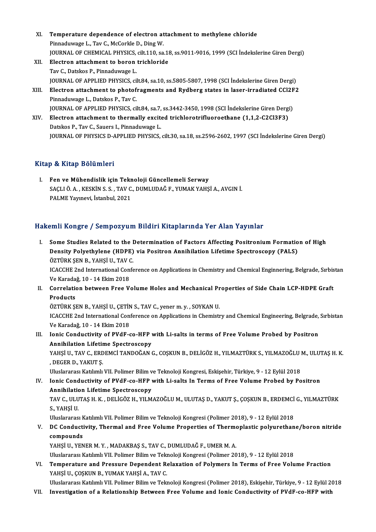- XI. Temperature dependence of electron attachment to methylene chloride<br>Rinnadwwase L. Tay G. MaCarkle D. Ding W. Temperature dependence of electron at<br>Pinnaduwage L., Tav C., McCorkle D., Ding W.<br>JOUPNAL OF CHEMICAL PHYSICS, silt 110, 33 Pinnaduwage L., Tav C., McCorkle D., Ding W.<br>JOURNAL OF CHEMICAL PHYSICS, cilt.110, sa.18, ss.9011-9016, 1999 (SCI İndekslerine Giren Dergi) XII. Electron attachment to boron trichloride TavC.,DatskosP.,Pinnaduwage L.
- JOURNALOFAPPLIEDPHYSICS, cilt.84, sa.10, ss.5805-5807,1998 (SCI İndekslerineGirenDergi) Tav C., Datskos P., Pinnaduwage L.<br>JOURNAL OF APPLIED PHYSICS, cilt.84, sa.10, ss.5805-5807, 1998 (SCI Indekslerine Giren Dergi)<br>XIII. Electron attachment to photofragments and Rydberg states in laser-irradiated CCl2F2<br>Pin **JOURNAL OF APPLIED PHYSICS, cifferent formation of the photof**<br>Pinnaduwage L., Datskos P., Tav C.<br>JOUPNAL OF APPLIED PHYSICS ci
- Electron attachment to photofragments and Rydberg states in laser-irradiated CCl2F<br>Pinnaduwage L., Datskos P., Tav C.<br>JOURNAL OF APPLIED PHYSICS, cilt.84, sa.7, ss.3442-3450, 1998 (SCI İndekslerine Giren Dergi)<br>Flastron at Pinnaduwage L., Datskos P., Tav C.<br>JOURNAL OF APPLIED PHYSICS, cilt.84, sa.7, ss.3442-3450, 1998 (SCI İndekslerine Giren Dergi<br>XIV. Electron attachment to thermally excited trichlorotrifluoroethane (1,1,2-C2Cl3F3)<br>Datskos
- **JOURNAL OF APPLIED PHYSICS, cilt.84, sa.7,<br>Electron attachment to thermally excite<br>Datskos P., Tav C., Sauers I., Pinnaduwage L.<br>JOUPMAL OF PHYSICS D. APPLIED PHYSICS** Datskos P., Tav C., Sauers I., Pinnaduwage L.<br>JOURNAL OF PHYSICS D-APPLIED PHYSICS, cilt.30, sa.18, ss.2596-2602, 1997 (SCI İndekslerine Giren Dergi)

#### Kitap & Kitap Bölümleri

I. Fen ve Mühendislik için Teknoloji Güncellemeli Serway S & KRup Bolumlori<br>Fen ve Mühendislik için Teknoloji Güncellemeli Serway<br>SAÇLI Ö. A. , KESKİN S. S. , TAV C., DUMLUDAĞ F., YUMAK YAHŞİ A., AVGIN İ.<br>RALME Yayınayi, İstanbul 2021 Fen ve Mühendislik için Tekr<br>SAÇLI Ö. A. , KESKİN S. S. , TAV C.<br>PALME Yayınevi, İstanbul, 2021

# PALME Yayınevi, İstanbul, 2021<br>Hakemli Kongre / Sempozyum Bildiri Kitaplarında Yer Alan Yayınlar

akemli Kongre / Sempozyum Bildiri Kitaplarında Yer Alan Yayınlar<br>I. Some Studies Related to the Determination of Factors Affecting Positronium Formation of High<br>Dengity Polyothylane (HDBE) via Positron Annihilation Lifetim Sant Rongrey Componyum Drain's Richpartmud Tor Pitan's Lyman<br>Some Studies Related to the Determination of Factors Affecting Positronium Formatio<br>Density Polyethylene (HDPE) via Positron Annihilation Lifetime Spectroscopy ( Some Studies Related to the I<br>Density Polyethylene (HDPE)<br>ÖZTÜRK ŞEN B., YAHŞİ U., TAV C.<br>ICACCUE 2nd International Confe Density Polyethylene (HDPE) via Positron Annihilation Lifetime Spectroscopy (PALS)<br>ÖZTÜRK ŞEN B., YAHŞİ U., TAV C.<br>ICACCHE 2nd International Conference on Applications in Chemistry and Chemical Enginnering, Belgrade, Sırbi

ÖZTÜRK ŞEN B., YAHŞİ U., TAV (<br>ICACCHE 2nd International Con<br>Ve Karadağ, 10 - 14 Ekim 2018<br>Conrelation between Eree V. Ve Karadağ, 10 - 14 Ekim 2018

II. Correlation between Free Volume Holes and Mechanical Properties of Side Chain LCP-HDPE Graft<br>Products Correlation between Free Volume Holes and Mechanical Pr<br>Products<br>ÖZTÜRK ŞEN B., YAHŞİ U., ÇETİN S., TAV C., yener m. y. , SOYKAN U.<br>ICACCUE 2nd International Conference on Applications in Chamisti

ICACCHE 2nd International Conference on Applications in Chemistry and Chemical Engineering, Belgrade, Sırbistan<br>Ve Karadağ, 10 - 14 Ekim 2018 ÖZTÜRK ŞEN B., YAHŞİ U., ÇETİN<br>ICACCHE 2nd International Con:<br>Ve Karadağ, 10 - 14 Ekim 2018<br>Ionis Condustivity of BVdE s ICACCHE 2nd International Conference on Applications in Chemistry and Chemical Engineering, Belgrade,<br>Ve Karadağ, 10 - 14 Ekim 2018<br>III. Ionic Conductivity of PVdF-co-HFP with Li-salts in terms of Free Volume Probed by Pos

Ve Karadağ, 10 - 14 Ekim 2018<br>Ionic Conductivity of PVdF-co-HFP<br>Annihilation Lifetime Spectroscopy<br>YAHSULL TAV G-EPDEMCLTANDOČAN ( Ionic Conductivity of PVdF-co-HFP with Li-salts in terms of Free Volume Probed by Positron<br>Annihilation Lifetime Spectroscopy<br>YAHŞİ U., TAV C., ERDEMCİ TANDOĞAN G., COŞKUN B., DELİGÖZ H., YILMAZTÜRK S., YILMAZOĞLU M., ULUT

Annihilation Lifetir<br>YAHŞİ U., TAV C., ERD<br>, DEGER D., YAKUT Ş.<br>Uluslararası Katılımlı YAHŞİ U., TAV C., ERDEMCİ TANDOĞAN G., COŞKUN B., DELİGÖZ H., YILMAZTÜRK S., YILMAZOĞLU !<br>, DEGER D., YAKUT Ş.<br>Uluslararası Katılımlı VII. Polimer Bilim ve Teknoloji Kongresi, Eskişehir, Türkiye, 9 - 12 Eylül 2018<br>Jonis Co

Uluslararası Katılımlı VII. Polimer Bilim ve Teknoloji Kongresi, Eskişehir, Türkiye, 9 - 12 Eylül 2018

IV. DEGER D., YAKUT \$.<br>Uluslararası Katılımlı VII. Polimer Bilim ve Teknoloji Kongresi, Eskişehir, Türkiye, 9 - 12 Eylül 2018<br>IV. Ionic Conductivity of PVdF-co-HFP with Li-salts In Terms of Free Volume Probed by Positr Ionic Conductivity of PVdF-co-HFP with Li-salts In Terms of Free Volume Probed by Positron<br>Annihilation Lifetime Spectroscopy<br>TAV C., ULUTAŞ H. K. , DELİGÖZ H., YILMAZOĞLU M., ULUTAŞ D., YAKUT Ş., ÇOŞKUN B., ERDEMCİ G., YI

<mark>Annihilatio</mark><br>TAV C., ULU<br>S., YAHŞİ U.<br>Uluslararec TAV C., ULUTAŞ H. K. , DELİGÖZ H., YILMAZOĞLU M., ULUTAŞ D., YAKUT Ş., ÇOŞKUN B., ERDEMCİ<br>S., YAHŞİ U.<br>Uluslararası Katılımlı VII. Polimer Bilim ve Teknoloji Kongresi (Polimer 2018), 9 - 12 Eylül 2018<br>D.C. Condustivity, Th

Uluslararası Katılımlı VII. Polimer Bilim ve Teknoloji Kongresi (Polimer 2018), 9 - 12 Eylül 2018

## S., YAHŞİ U.<br>Uluslararası Katılımlı VII. Polimer Bilim ve Teknoloji Kongresi (Polimer 2018), 9 - 12 Eylül 2018<br>V. DC Conductivity, Thermal and Free Volume Properties of Thermoplastic polyurethane/boron nitride<br>compound compounds<br>YAHŞİ U., YENER M. Y. , MADAKBAŞ S., TAV C., DUMLUDAĞ F., UMER M. A.<br>Uluslararası Katılımlı VII. Polimer Bilim ve Teknoloji Kongresi (Polimer 2018), 9 - 12 Eylül 2018<br>Temperature and Pressure Dependent Belavation

YAHŞİU., YENER M.Y., MADAKBAŞ S., TAV C., DUMLUDAĞ F., UMER M.A.

VI. Temperature and Pressure Dependent Relaxation of Polymers In Terms of Free Volume Fraction Uluslararası Katılımlı VII. Polimer Bilim ve Tek<mark>l</mark><br>Temperature and Pressure Dependent Ro<br>YAHŞİ U., ÇOŞKUN B., YUMAK YAHŞİ A., TAV C.<br>Uluslararası Katılımlı VII. Bolimar Bilim ve Teln Temperature and Pressure Dependent Relaxation of Polymers In Terms of Free Volume Fraction<br>YAHŞİ U., ÇOŞKUN B., YUMAK YAHŞİ A., TAV C.<br>Uluslararası Katılımlı VII. Polimer Bilim ve Teknoloji Kongresi (Polimer 2018), Eskişeh YAHŞİ U., ÇOŞKUN B., YUMAK YAHŞİ A., TAV C.<br>12 Uluslararası Katılımlı VII. Polimer Bilim ve Teknoloji Kongresi (Polimer 2018), Eskişehir, Türkiye, 9 - 12<br>15 VII. Investigation of a Relationship Between Free Volume and I